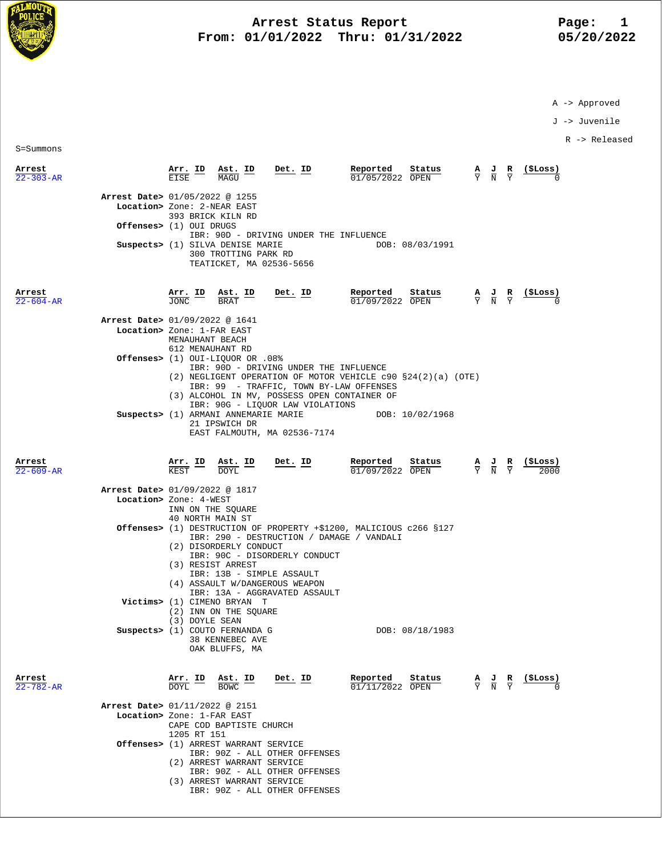

## **Arrest Status Report** Page: 1<br>1/01/2022 Thru: 01/31/2022 05/20/2022 **From: 01/01/2022 Thru: 01/31/2022**

A -> Approved

J -> Juvenile

R -> Released

S=Summons

| Arrest<br>$22 - 303 - AR$      | Arr. ID<br><b>EISE</b>                                                                                          | Ast. ID<br>MAGU                                      | Det. ID                                                                                                                                                     | Reported<br>01/05/2022 OPEN                                                                                               | Status          | $\frac{A}{Y}$ $\frac{J}{N}$                                                                     | $\frac{\mathbf{R}}{\Upsilon}$                                                                   | (SLoss) |
|--------------------------------|-----------------------------------------------------------------------------------------------------------------|------------------------------------------------------|-------------------------------------------------------------------------------------------------------------------------------------------------------------|---------------------------------------------------------------------------------------------------------------------------|-----------------|-------------------------------------------------------------------------------------------------|-------------------------------------------------------------------------------------------------|---------|
| Arrest Date> 01/05/2022 @ 1255 | Location> Zone: 2-NEAR EAST<br>393 BRICK KILN RD<br>Offenses> (1) OUI DRUGS<br>Suspects> (1) SILVA DENISE MARIE | 300 TROTTING PARK RD                                 | IBR: 90D - DRIVING UNDER THE INFLUENCE<br>TEATICKET, MA 02536-5656                                                                                          |                                                                                                                           | DOB: 08/03/1991 |                                                                                                 |                                                                                                 |         |
| Arrest<br>$22 - 604 - AR$      | $\frac{\texttt{Arr.}}{\texttt{JONC}}$ $\frac{\texttt{ID}}{\texttt{I}}$                                          | $\frac{\text{Ast.}}{\text{DDAT}}$<br><b>BRAT</b>     | Det. ID                                                                                                                                                     | Reported<br>01/09/2022 OPEN                                                                                               | Status          | $\frac{\mathbf{A}}{\mathbf{Y}}$ $\frac{\mathbf{J}}{\mathbf{N}}$                                 | $\frac{R}{Y}$                                                                                   | (ŞLoss) |
| Arrest Date> 01/09/2022 @ 1641 | Location> Zone: 1-FAR EAST<br>MENAUHANT BEACH                                                                   |                                                      |                                                                                                                                                             |                                                                                                                           |                 |                                                                                                 |                                                                                                 |         |
|                                | 612 MENAUHANT RD<br>0ffenses> (1) OUI-LIQUOR OR .08%                                                            |                                                      | IBR: 90D - DRIVING UNDER THE INFLUENCE                                                                                                                      | (2) NEGLIGENT OPERATION OF MOTOR VEHICLE $c90 S24(2)(a)$ (OTE)                                                            |                 |                                                                                                 |                                                                                                 |         |
|                                | Suspects> (1) ARMANI ANNEMARIE MARIE                                                                            | 21 IPSWICH DR                                        | IBR: 99 - TRAFFIC, TOWN BY-LAW OFFENSES<br>(3) ALCOHOL IN MV, POSSESS OPEN CONTAINER OF<br>IBR: 90G - LIQUOR LAW VIOLATIONS<br>EAST FALMOUTH, MA 02536-7174 | DOB: 10/02/1968                                                                                                           |                 |                                                                                                 |                                                                                                 |         |
| Arrest<br>$22 - 609 - AR$      | <b>Arr. ID</b><br>KEST                                                                                          | $\frac{\texttt{Ast.}}{\texttt{DOYL}}$<br><b>DOYL</b> | Det. ID                                                                                                                                                     | Reported<br>$01/09/2022$ OPEN                                                                                             | Status          | $\frac{\mathbf{A}}{\mathbf{Y}}$ $\frac{\mathbf{J}}{\mathbf{N}}$ $\frac{\mathbf{R}}{\mathbf{Y}}$ |                                                                                                 | (ŞLoss) |
| Arrest Date> 01/09/2022 @ 1817 | Location> Zone: 4-WEST<br>INN ON THE SQUARE<br>40 NORTH MAIN ST                                                 |                                                      |                                                                                                                                                             |                                                                                                                           |                 |                                                                                                 |                                                                                                 |         |
|                                | (2) DISORDERLY CONDUCT<br>(3) RESIST ARREST                                                                     |                                                      | IBR: 90C - DISORDERLY CONDUCT<br>IBR: 13B - SIMPLE ASSAULT<br>(4) ASSAULT W/DANGEROUS WEAPON                                                                | <b>Offenses&gt;</b> (1) DESTRUCTION OF PROPERTY +\$1200, MALICIOUS c266 §127<br>IBR: 290 - DESTRUCTION / DAMAGE / VANDALI |                 |                                                                                                 |                                                                                                 |         |
|                                | Victims> (1) CIMENO BRYAN T<br>(2) INN ON THE SQUARE<br>(3) DOYLE SEAN                                          |                                                      | IBR: 13A - AGGRAVATED ASSAULT                                                                                                                               |                                                                                                                           |                 |                                                                                                 |                                                                                                 |         |
|                                | Suspects> (1) COUTO FERNANDA G                                                                                  | 38 KENNEBEC AVE<br>OAK BLUFFS, MA                    |                                                                                                                                                             |                                                                                                                           | DOB: 08/18/1983 |                                                                                                 |                                                                                                 |         |
| Arrest<br>$22 - 782 - AR$      | Arr. ID<br><b>DOYL</b>                                                                                          | $\frac{\text{Ast. ID}}{\text{Raus}}$<br><b>BOWC</b>  | Det. ID                                                                                                                                                     | Reported<br>01/11/2022 OPEN                                                                                               | Status          |                                                                                                 | $\frac{\mathbf{A}}{\mathbf{Y}}$ $\frac{\mathbf{J}}{\mathbf{N}}$ $\frac{\mathbf{R}}{\mathbf{Y}}$ | (ŞLoss) |
| Arrest Date> 01/11/2022 @ 2151 | Location> Zone: 1-FAR EAST<br>CAPE COD BAPTISTE CHURCH<br>1205 RT 151                                           |                                                      |                                                                                                                                                             |                                                                                                                           |                 |                                                                                                 |                                                                                                 |         |
|                                | Offenses> (1) ARREST WARRANT SERVICE<br>(2) ARREST WARRANT SERVICE<br>(3) ARREST WARRANT SERVICE                |                                                      | IBR: 90Z - ALL OTHER OFFENSES<br>IBR: 90Z - ALL OTHER OFFENSES<br>IBR: 90Z - ALL OTHER OFFENSES                                                             |                                                                                                                           |                 |                                                                                                 |                                                                                                 |         |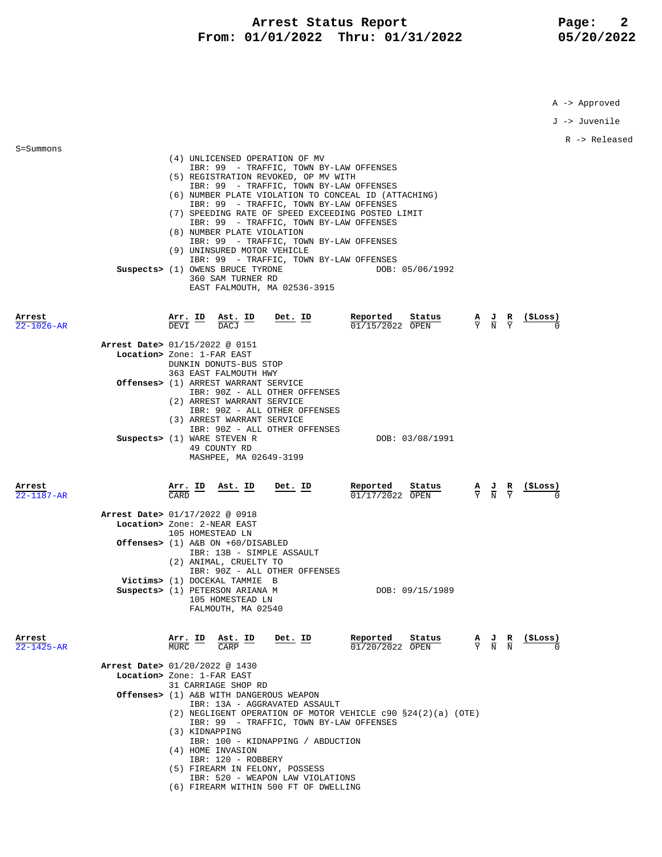## Arrest Status Report **Page: 2 From: 01/01/2022 Thru: 01/31/2022 05/20/2022**

A -> Approved

J -> Juvenile R -> Released S=Summons (4) UNLICENSED OPERATION OF MV IBR: 99 - TRAFFIC, TOWN BY-LAW OFFENSES (5) REGISTRATION REVOKED, OP MV WITH IBR: 99 - TRAFFIC, TOWN BY-LAW OFFENSES (6) NUMBER PLATE VIOLATION TO CONCEAL ID (ATTACHING) IBR: 99 - TRAFFIC, TOWN BY-LAW OFFENSES (7) SPEEDING RATE OF SPEED EXCEEDING POSTED LIMIT IBR: 99 - TRAFFIC, TOWN BY-LAW OFFENSES (8) NUMBER PLATE VIOLATION IBR: 99 - TRAFFIC, TOWN BY-LAW OFFENSES (9) UNINSURED MOTOR VEHICLE IBR: 99 - TRAFFIC, TOWN BY-LAW OFFENSES **Suspects>** (1) OWENS BRUCE TYRONE 360 SAM TURNER RD EAST FALMOUTH, MA 02536-3915 **Arrest Arr. ID Ast. ID Det. ID Reported Status A J R (\$Loss)**  $\overline{22-1026}$ -AR DEVI DEVI DACJ  $\overline{D}$  DACJ  $\overline{D}$   $\overline{D}$   $\overline{D}$   $\overline{D}$   $\overline{D}$   $\overline{D}$   $\overline{D}$   $\overline{D}$   $\overline{D}$   $\overline{D}$   $\overline{D}$   $\overline{D}$   $\overline{D}$   $\overline{D}$   $\overline{D}$   $\overline{D}$   $\overline{D}$   $\overline{D}$   $\overline{D}$   $\over$  **Arrest Date>** 01/15/2022 @ 0151  **Location>** Zone: 1-FAR EAST DUNKIN DONUTS-BUS STOP 363 EAST FALMOUTH HWY  **Offenses>** (1) ARREST WARRANT SERVICE IBR: 90Z - ALL OTHER OFFENSES (2) ARREST WARRANT SERVICE IBR: 90Z - ALL OTHER OFFENSES (3) ARREST WARRANT SERVICE IBR: 90Z - ALL OTHER OFFENSES **Suspects>** (1) WARE STEVEN R DOB: 03/08/1991 49 COUNTY RD MASHPEE, MA 02649-3199 **Arrest Arr. ID Ast. ID Det. ID Reported Status A J R (\$Loss)** 22-1187-AR CARD 01/17/2022 OPEN Y N Y 0  **Arrest Date>** 01/17/2022 @ 0918  **Location>** Zone: 2-NEAR EAST 105 HOMESTEAD LN  **Offenses>** (1) A&B ON +60/DISABLED IBR: 13B - SIMPLE ASSAULT (2) ANIMAL, CRUELTY TO IBR: 90Z - ALL OTHER OFFENSES  **Victims>** (1) DOCEKAL TAMMIE B **Suspects>** (1) PETERSON ARIANA M DOB: 09/15/1989 105 HOMESTEAD LN FALMOUTH, MA 02540 **Arrest Arr. ID Ast. ID Det. ID Reported Status A J R (\$Loss)** 22-1425-AR MURC CARP 01/20/2022 OPEN Y N N 0  **Arrest Date>** 01/20/2022 @ 1430  **Location>** Zone: 1-FAR EAST 31 CARRIAGE SHOP RD  **Offenses>** (1) A&B WITH DANGEROUS WEAPON IBR: 13A - AGGRAVATED ASSAULT (2) NEGLIGENT OPERATION OF MOTOR VEHICLE c90 §24(2)(a) (OTE) IBR: 99 - TRAFFIC, TOWN BY-LAW OFFENSES (3) KIDNAPPING IBR: 100 - KIDNAPPING / ABDUCTION (4) HOME INVASION IBR: 120 - ROBBERY (5) FIREARM IN FELONY, POSSESS

- IBR: 520 WEAPON LAW VIOLATIONS
- (6) FIREARM WITHIN 500 FT OF DWELLING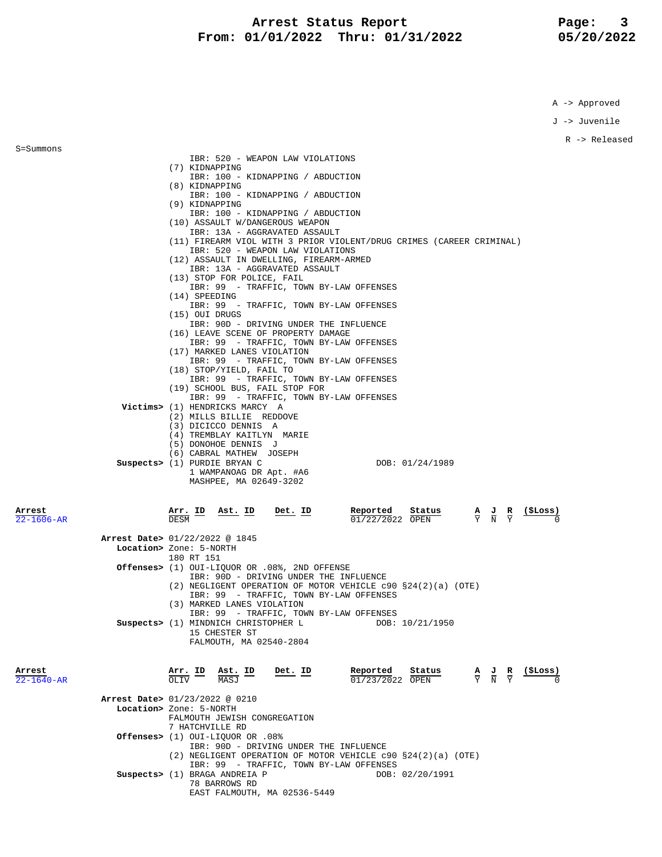## **Arrest Status Report** Page: 3<br>11/01/2022 Thru: 01/31/2022 05/20/2022 **From: 01/01/2022 Thru: 01/31/2022**

A -> Approved

J -> Juvenile

R -> Released

| S=Summons        |                                                                                                    |
|------------------|----------------------------------------------------------------------------------------------------|
|                  | IBR: 520 - WEAPON LAW VIOLATIONS<br>(7) KIDNAPPING                                                 |
|                  | IBR: 100 - KIDNAPPING / ABDUCTION                                                                  |
|                  | (8) KIDNAPPING<br>IBR: 100 - KIDNAPPING / ABDUCTION                                                |
|                  | (9) KIDNAPPING                                                                                     |
|                  | IBR: 100 - KIDNAPPING / ABDUCTION                                                                  |
|                  | (10) ASSAULT W/DANGEROUS WEAPON<br>IBR: 13A - AGGRAVATED ASSAULT                                   |
|                  | (11) FIREARM VIOL WITH 3 PRIOR VIOLENT/DRUG CRIMES (CAREER CRIMINAL)                               |
|                  | IBR: 520 - WEAPON LAW VIOLATIONS                                                                   |
|                  | (12) ASSAULT IN DWELLING, FIREARM-ARMED<br>IBR: 13A - AGGRAVATED ASSAULT                           |
|                  | (13) STOP FOR POLICE, FAIL                                                                         |
|                  | IBR: 99 - TRAFFIC, TOWN BY-LAW OFFENSES<br>(14) SPEEDING                                           |
|                  | IBR: 99 - TRAFFIC, TOWN BY-LAW OFFENSES                                                            |
|                  | (15) OUI DRUGS                                                                                     |
|                  | IBR: 90D - DRIVING UNDER THE INFLUENCE<br>(16) LEAVE SCENE OF PROPERTY DAMAGE                      |
|                  | IBR: 99 - TRAFFIC, TOWN BY-LAW OFFENSES                                                            |
|                  | (17) MARKED LANES VIOLATION<br>IBR: 99 - TRAFFIC, TOWN BY-LAW OFFENSES                             |
|                  | (18) STOP/YIELD, FAIL TO                                                                           |
|                  | IBR: 99 - TRAFFIC, TOWN BY-LAW OFFENSES                                                            |
|                  | (19) SCHOOL BUS, FAIL STOP FOR<br>IBR: 99 - TRAFFIC, TOWN BY-LAW OFFENSES                          |
|                  | Victims> (1) HENDRICKS MARCY A                                                                     |
|                  | (2) MILLS BILLIE REDDOVE<br>(3) DICICCO DENNIS A                                                   |
|                  | (4) TREMBLAY KAITLYN MARIE                                                                         |
|                  | (5) DONOHOE DENNIS J                                                                               |
|                  | (6) CABRAL MATHEW JOSEPH<br>Suspects> (1) PURDIE BRYAN C<br>DOB: 01/24/1989                        |
|                  | 1 WAMPANOAG DR Apt. #A6                                                                            |
|                  |                                                                                                    |
|                  | MASHPEE, MA 02649-3202                                                                             |
|                  |                                                                                                    |
| Arrest           | Arr. ID<br>Ast. ID<br>Det. ID<br>Reported<br>$($ SLoss $)$<br>Status                               |
| $22 - 1606 - AR$ | $\frac{A}{Y}$ $\frac{J}{N}$ $\frac{R}{Y}$<br>01/22/2022 OPEN<br>DESM                               |
|                  | Arrest Date> 01/22/2022 @ 1845                                                                     |
|                  | Location> Zone: 5-NORTH                                                                            |
|                  | 180 RT 151                                                                                         |
|                  | Offenses> (1) OUI-LIQUOR OR .08%, 2ND OFFENSE<br>IBR: 90D - DRIVING UNDER THE INFLUENCE            |
|                  | $(2)$ NEGLIGENT OPERATION OF MOTOR VEHICLE c90 §24(2)(a) (OTE)                                     |
|                  | IBR: 99 - TRAFFIC, TOWN BY-LAW OFFENSES<br>(3) MARKED LANES VIOLATION                              |
|                  | IBR: 99 - TRAFFIC, TOWN BY-LAW OFFENSES                                                            |
|                  | Suspects> (1) MINDNICH CHRISTOPHER L<br>DOB: 10/21/1950                                            |
|                  | 15 CHESTER ST<br>FALMOUTH, MA 02540-2804                                                           |
|                  |                                                                                                    |
| Arrest           | Reported<br>Status<br>(ŞLoss)<br>Det. ID                                                           |
| $22 - 1640 - AR$ | Arr. ID<br>Ast. ID<br>$\frac{A}{Y}$ $\frac{J}{N}$ $\frac{R}{Y}$<br>VIJO<br>01/23/2022 OPEN<br>MASJ |
|                  |                                                                                                    |
|                  | Arrest Date> 01/23/2022 @ 0210<br>Location> Zone: 5-NORTH                                          |
|                  | FALMOUTH JEWISH CONGREGATION                                                                       |
|                  | 7 HATCHVILLE RD                                                                                    |
|                  | 0ffenses> (1) OUI-LIQUOR OR .08%<br>IBR: 90D - DRIVING UNDER THE INFLUENCE                         |
|                  | (2) NEGLIGENT OPERATION OF MOTOR VEHICLE $c90 S24(2)(a)$ (OTE)                                     |
|                  | IBR: 99 - TRAFFIC, TOWN BY-LAW OFFENSES<br>Suspects> (1) BRAGA ANDREIA P<br>DOB: 02/20/1991        |
|                  | 78 BARROWS RD<br>EAST FALMOUTH, MA 02536-5449                                                      |